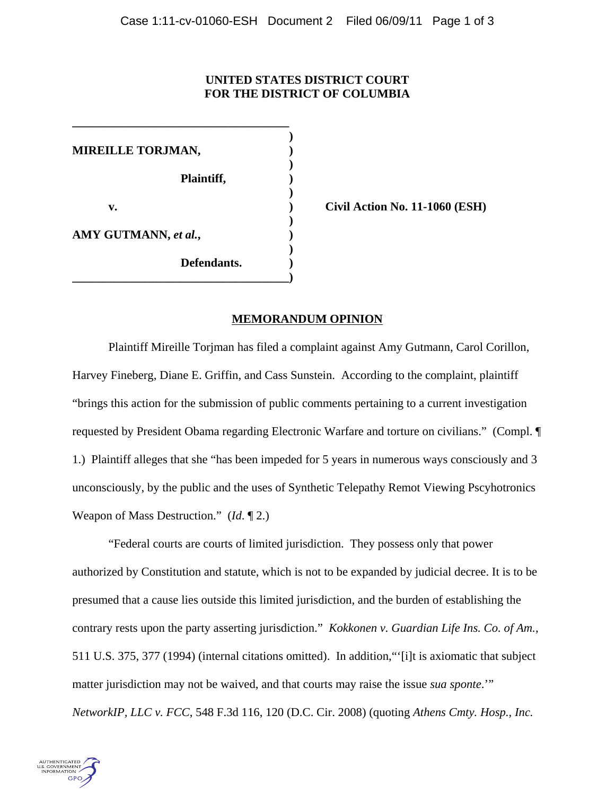## **UNITED STATES DISTRICT COURT FOR THE DISTRICT OF COLUMBIA**

**)**

**)**

**)**

**)**

**)**

**MIREILLE TORJMAN, ) Plaintiff, ) v. ) Civil Action No. 11-1060 (ESH) AMY GUTMANN,** *et al.***, ) Defendants. )**

**\_\_\_\_\_\_\_\_\_\_\_\_\_\_\_\_\_\_\_\_\_\_\_\_\_\_\_\_\_\_\_\_\_\_\_\_)**

**\_\_\_\_\_\_\_\_\_\_\_\_\_\_\_\_\_\_\_\_\_\_\_\_\_\_\_\_\_\_\_\_\_\_\_\_**

## **MEMORANDUM OPINION**

Plaintiff Mireille Torjman has filed a complaint against Amy Gutmann, Carol Corillon, Harvey Fineberg, Diane E. Griffin, and Cass Sunstein. According to the complaint, plaintiff "brings this action for the submission of public comments pertaining to a current investigation requested by President Obama regarding Electronic Warfare and torture on civilians." (Compl. ¶ 1.) Plaintiff alleges that she "has been impeded for 5 years in numerous ways consciously and 3 unconsciously, by the public and the uses of Synthetic Telepathy Remot Viewing Pscyhotronics Weapon of Mass Destruction." (*Id*. ¶ 2.)

"Federal courts are courts of limited jurisdiction. They possess only that power authorized by Constitution and statute, which is not to be expanded by judicial decree. It is to be presumed that a cause lies outside this limited jurisdiction, and the burden of establishing the contrary rests upon the party asserting jurisdiction." *Kokkonen v. Guardian Life Ins. Co. of Am.*, 511 U.S. 375, 377 (1994) (internal citations omitted). In addition,"'[i]t is axiomatic that subject matter jurisdiction may not be waived, and that courts may raise the issue *sua sponte*.'" *NetworkIP, LLC v. FCC*, 548 F.3d 116, 120 (D.C. Cir. 2008) (quoting *Athens Cmty. Hosp., Inc.*

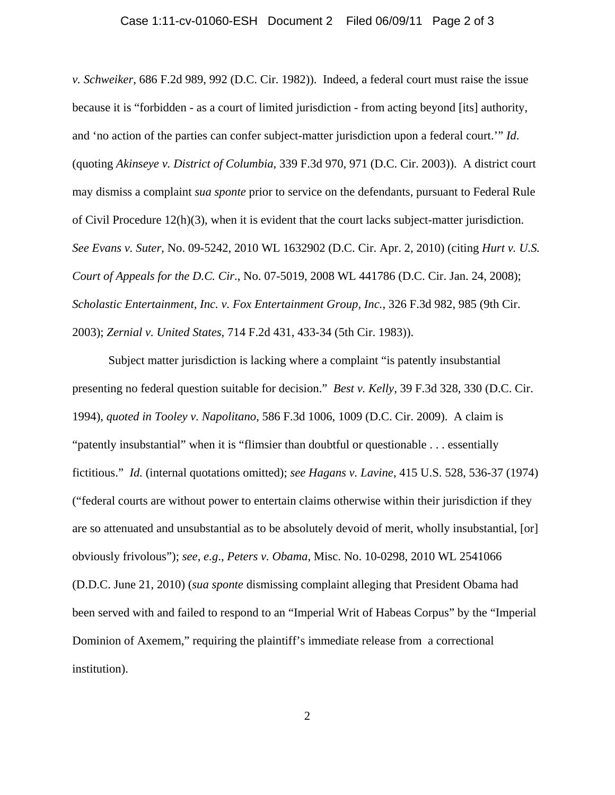## Case 1:11-cv-01060-ESH Document 2 Filed 06/09/11 Page 2 of 3

*v. Schweiker*, 686 F.2d 989, 992 (D.C. Cir. 1982)). Indeed, a federal court must raise the issue because it is "forbidden - as a court of limited jurisdiction - from acting beyond [its] authority, and 'no action of the parties can confer subject-matter jurisdiction upon a federal court.'" *Id*. (quoting *Akinseye v. District of Columbia*, 339 F.3d 970, 971 (D.C. Cir. 2003)). A district court may dismiss a complaint *sua sponte* prior to service on the defendants, pursuant to Federal Rule of Civil Procedure 12(h)(3), when it is evident that the court lacks subject-matter jurisdiction. *See Evans v. Suter*, No. 09-5242, 2010 WL 1632902 (D.C. Cir. Apr. 2, 2010) (citing *Hurt v. U.S. Court of Appeals for the D.C. Cir*., No. 07-5019, 2008 WL 441786 (D.C. Cir. Jan. 24, 2008); *Scholastic Entertainment, Inc. v. Fox Entertainment Group, Inc.*, 326 F.3d 982, 985 (9th Cir. 2003); *Zernial v. United States*, 714 F.2d 431, 433-34 (5th Cir. 1983)).

Subject matter jurisdiction is lacking where a complaint "is patently insubstantial presenting no federal question suitable for decision." *Best v. Kelly*, 39 F.3d 328, 330 (D.C. Cir. 1994), *quoted in Tooley v. Napolitano*, 586 F.3d 1006, 1009 (D.C. Cir. 2009). A claim is "patently insubstantial" when it is "flimsier than doubtful or questionable . . . essentially fictitious." *Id.* (internal quotations omitted); *see Hagans v. Lavine*, 415 U.S. 528, 536-37 (1974) ("federal courts are without power to entertain claims otherwise within their jurisdiction if they are so attenuated and unsubstantial as to be absolutely devoid of merit, wholly insubstantial, [or] obviously frivolous"); *see*, *e.g*., *Peters v. Obama*, Misc. No. 10-0298, 2010 WL 2541066 (D.D.C. June 21, 2010) (*sua sponte* dismissing complaint alleging that President Obama had been served with and failed to respond to an "Imperial Writ of Habeas Corpus" by the "Imperial Dominion of Axemem," requiring the plaintiff's immediate release from a correctional institution).

2